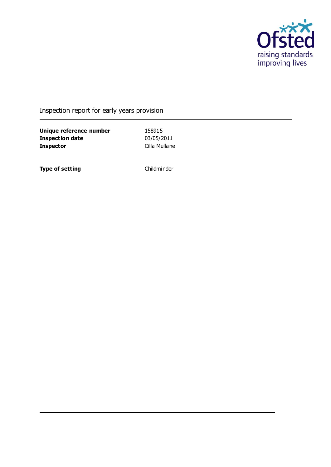

## Inspection report for early years provision

**Unique reference number** 158915<br> **Inspection date** 03/05/2011 **Inspection date Inspector** Cilla Mullane

**Type of setting** Childminder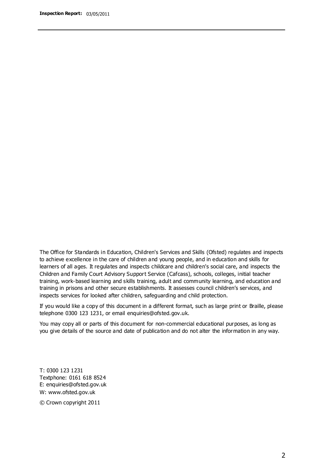The Office for Standards in Education, Children's Services and Skills (Ofsted) regulates and inspects to achieve excellence in the care of children and young people, and in education and skills for learners of all ages. It regulates and inspects childcare and children's social care, and inspects the Children and Family Court Advisory Support Service (Cafcass), schools, colleges, initial teacher training, work-based learning and skills training, adult and community learning, and education and training in prisons and other secure establishments. It assesses council children's services, and inspects services for looked after children, safeguarding and child protection.

If you would like a copy of this document in a different format, such as large print or Braille, please telephone 0300 123 1231, or email enquiries@ofsted.gov.uk.

You may copy all or parts of this document for non-commercial educational purposes, as long as you give details of the source and date of publication and do not alter the information in any way.

T: 0300 123 1231 Textphone: 0161 618 8524 E: enquiries@ofsted.gov.uk W: [www.ofsted.gov.uk](http://www.ofsted.gov.uk/)

© Crown copyright 2011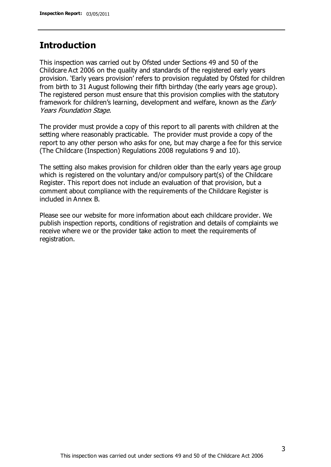### **Introduction**

This inspection was carried out by Ofsted under Sections 49 and 50 of the Childcare Act 2006 on the quality and standards of the registered early years provision. 'Early years provision' refers to provision regulated by Ofsted for children from birth to 31 August following their fifth birthday (the early years age group). The registered person must ensure that this provision complies with the statutory framework for children's learning, development and welfare, known as the *Early* Years Foundation Stage.

The provider must provide a copy of this report to all parents with children at the setting where reasonably practicable. The provider must provide a copy of the report to any other person who asks for one, but may charge a fee for this service (The Childcare (Inspection) Regulations 2008 regulations 9 and 10).

The setting also makes provision for children older than the early years age group which is registered on the voluntary and/or compulsory part(s) of the Childcare Register. This report does not include an evaluation of that provision, but a comment about compliance with the requirements of the Childcare Register is included in Annex B.

Please see our website for more information about each childcare provider. We publish inspection reports, conditions of registration and details of complaints we receive where we or the provider take action to meet the requirements of registration.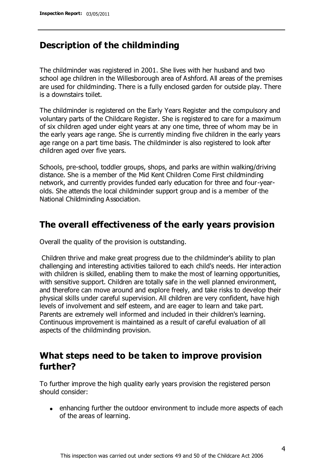### **Description of the childminding**

The childminder was registered in 2001. She lives with her husband and two school age children in the Willesborough area of Ashford. All areas of the premises are used for childminding. There is a fully enclosed garden for outside play. There is a downstairs toilet.

The childminder is registered on the Early Years Register and the compulsory and voluntary parts of the Childcare Register. She is registered to care for a maximum of six children aged under eight years at any one time, three of whom may be in the early years age range. She is currently minding five children in the early years age range on a part time basis. The childminder is also registered to look after children aged over five years.

Schools, pre-school, toddler groups, shops, and parks are within walking/driving distance. She is a member of the Mid Kent Children Come First childminding network, and currently provides funded early education for three and four-yearolds. She attends the local childminder support group and is a member of the National Childminding Association.

## **The overall effectiveness of the early years provision**

Overall the quality of the provision is outstanding.

Children thrive and make great progress due to the childminder's ability to plan challenging and interesting activities tailored to each child's needs. Her interaction with children is skilled, enabling them to make the most of learning opportunities, with sensitive support. Children are totally safe in the well planned environment, and therefore can move around and explore freely, and take risks to develop their physical skills under careful supervision. All children are very confident, have high levels of involvement and self esteem, and are eager to learn and take part. Parents are extremely well informed and included in their children's learning. Continuous improvement is maintained as a result of careful evaluation of all aspects of the childminding provision.

## **What steps need to be taken to improve provision further?**

To further improve the high quality early years provision the registered person should consider:

• enhancing further the outdoor environment to include more aspects of each of the areas of learning.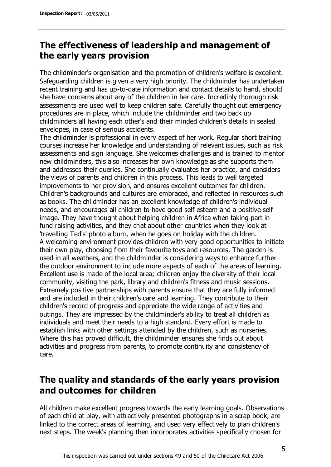## **The effectiveness of leadership and management of the early years provision**

The childminder's organisation and the promotion of children's welfare is excellent. Safeguarding children is given a very high priority. The childminder has undertaken recent training and has up-to-date information and contact details to hand, should she have concerns about any of the children in her care. Incredibly thorough risk assessments are used well to keep children safe. Carefully thought out emergency procedures are in place, which include the childminder and two back up childminders all having each other's and their minded children's details in sealed envelopes, in case of serious accidents.

The childminder is professional in every aspect of her work. Regular short training courses increase her knowledge and understanding of relevant issues, such as risk assessments and sign language. She welcomes challenges and is trained to mentor new childminders, this also increases her own knowledge as she supports them and addresses their queries. She continually evaluates her practice, and considers the views of parents and children in this process. This leads to well targeted improvements to her provision, and ensures excellent outcomes for children. Children's backgrounds and cultures are embraced, and reflected in resources such as books. The childminder has an excellent knowledge of children's individual needs, and encourages all children to have good self esteem and a positive self image. They have thought about helping children in Africa when taking part in fund raising activities, and they chat about other countries when they look at 'travelling Ted's' photo album, when he goes on holiday with the children. A welcoming environment provides children with very good opportunities to initiate their own play, choosing from their favourite toys and resources. The garden is used in all weathers, and the childminder is considering ways to enhance further the outdoor environment to include more aspects of each of the areas of learning. Excellent use is made of the local area; children enjoy the diversity of their local community, visiting the park, library and children's fitness and music sessions. Extremely positive partnerships with parents ensure that they are fully informed and are included in their children's care and learning. They contribute to their children's record of progress and appreciate the wide range of activities and outings. They are impressed by the childminder's ability to treat all children as individuals and meet their needs to a high standard. Every effort is made to establish links with other settings attended by the children, such as nurseries. Where this has proved difficult, the childminder ensures she finds out about activities and progress from parents, to promote continuity and consistency of care.

## **The quality and standards of the early years provision and outcomes for children**

All children make excellent progress towards the early learning goals. Observations of each child at play, with attractively presented photographs in a scrap book, are linked to the correct areas of learning, and used very effectively to plan children's next steps. The week's planning then incorporates activities specifically chosen for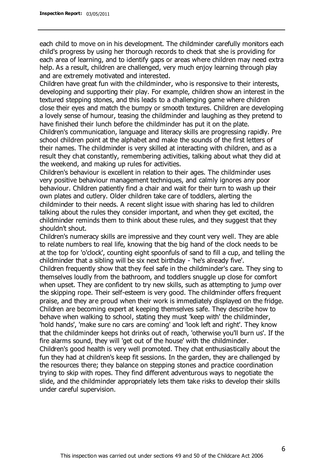each child to move on in his development. The childminder carefully monitors each child's progress by using her thorough records to check that she is providing for each area of learning, and to identify gaps or areas where children may need extra help. As a result, children are challenged, very much enjoy learning through play and are extremely motivated and interested.

Children have great fun with the childminder, who is responsive to their interests, developing and supporting their play. For example, children show an interest in the textured stepping stones, and this leads to a challenging game where children close their eyes and match the bumpy or smooth textures. Children are developing a lovely sense of humour, teasing the childminder and laughing as they pretend to have finished their lunch before the childminder has put it on the plate.

Children's communication, language and literacy skills are progressing rapidly. Pre school children point at the alphabet and make the sounds of the first letters of their names. The childminder is very skilled at interacting with children, and as a result they chat constantly, remembering activities, talking about what they did at the weekend, and making up rules for activities.

Children's behaviour is excellent in relation to their ages. The childminder uses very positive behaviour management techniques, and calmly ignores any poor behaviour. Children patiently find a chair and wait for their turn to wash up their own plates and cutlery. Older children take care of toddlers, alerting the childminder to their needs. A recent slight issue with sharing has led to children talking about the rules they consider important, and when they get excited, the childminder reminds them to think about these rules, and they suggest that they shouldn't shout.

Children's numeracy skills are impressive and they count very well. They are able to relate numbers to real life, knowing that the big hand of the clock needs to be at the top for 'o'clock', counting eight spoonfuls of sand to fill a cup, and telling the childminder that a sibling will be six next birthday - 'he's already five'.

Children frequently show that they feel safe in the childminder's care. They sing to themselves loudly from the bathroom, and toddlers snuggle up close for comfort when upset. They are confident to try new skills, such as attempting to jump over the skipping rope. Their self-esteem is very good. The childminder offers frequent praise, and they are proud when their work is immediately displayed on the fridge. Children are becoming expert at keeping themselves safe. They describe how to behave when walking to school, stating they must 'keep with' the childminder, 'hold hands', 'make sure no cars are coming' and 'look left and right'. They know that the childminder keeps hot drinks out of reach, 'otherwise you'll burn us'. If the fire alarms sound, they will 'get out of the house' with the childminder.

Children's good health is very well promoted. They chat enthusiastically about the fun they had at children's keep fit sessions. In the garden, they are challenged by the resources there; they balance on stepping stones and practice coordination trying to skip with ropes. They find different adventurous ways to negotiate the slide, and the childminder appropriately lets them take risks to develop their skills under careful supervision.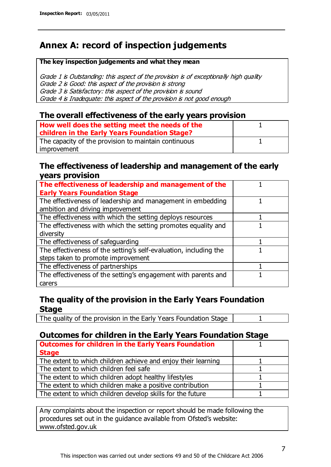## **Annex A: record of inspection judgements**

#### **The key inspection judgements and what they mean**

Grade 1 is Outstanding: this aspect of the provision is of exceptionally high quality Grade 2 is Good: this aspect of the provision is strong Grade 3 is Satisfactory: this aspect of the provision is sound Grade 4 is Inadequate: this aspect of the provision is not good enough

#### **The overall effectiveness of the early years provision**

| How well does the setting meet the needs of the<br>children in the Early Years Foundation Stage? |  |
|--------------------------------------------------------------------------------------------------|--|
| The capacity of the provision to maintain continuous                                             |  |
| improvement                                                                                      |  |

#### **The effectiveness of leadership and management of the early years provision**

| The effectiveness of leadership and management of the             |  |
|-------------------------------------------------------------------|--|
| <b>Early Years Foundation Stage</b>                               |  |
| The effectiveness of leadership and management in embedding       |  |
| ambition and driving improvement                                  |  |
| The effectiveness with which the setting deploys resources        |  |
| The effectiveness with which the setting promotes equality and    |  |
| diversity                                                         |  |
| The effectiveness of safeguarding                                 |  |
| The effectiveness of the setting's self-evaluation, including the |  |
| steps taken to promote improvement                                |  |
| The effectiveness of partnerships                                 |  |
| The effectiveness of the setting's engagement with parents and    |  |
| carers                                                            |  |

### **The quality of the provision in the Early Years Foundation Stage**

The quality of the provision in the Early Years Foundation Stage | 1

### **Outcomes for children in the Early Years Foundation Stage**

| <b>Outcomes for children in the Early Years Foundation</b>    |  |
|---------------------------------------------------------------|--|
| <b>Stage</b>                                                  |  |
| The extent to which children achieve and enjoy their learning |  |
| The extent to which children feel safe                        |  |
| The extent to which children adopt healthy lifestyles         |  |
| The extent to which children make a positive contribution     |  |
| The extent to which children develop skills for the future    |  |

Any complaints about the inspection or report should be made following the procedures set out in the guidance available from Ofsted's website: www.ofsted.gov.uk